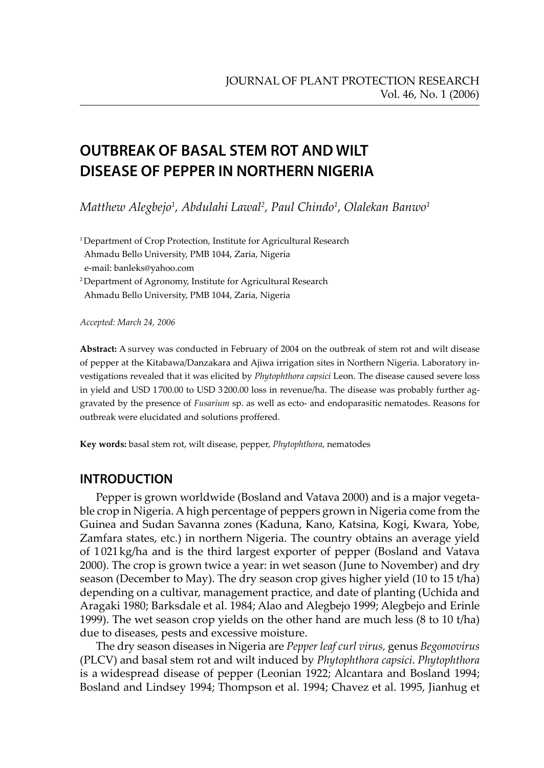# **OUTBREAK OF BASAL STEM ROT AND WILT DISEASE OF PEPPER IN NORTHERN NIGERIA**

*Matthew Alegbejo1 , Abdulahi Lawal2 , Paul Chindo1 , Olalekan Banwo1*

<sup>1</sup> Department of Crop Protection, Institute for Agricultural Research Ahmadu Bello University, PMB 1044, Zaria, Nigeria e-mail: banleks@yahoo.com

2 Department of Agronomy, Institute for Agricultural Research Ahmadu Bello University, PMB 1044, Zaria, Nigeria

*Accepted: March 24, 2006*

**Abstract:** A survey was conducted in February of 2004 on the outbreak of stem rot and wilt disease of pepper at the Kitabawa/Danzakara and Ajiwa irrigation sites in Northern Nigeria. Laboratory investigations revealed that it was elicited by *Phytophthora capsici* Leon. The disease caused severe loss in yield and USD 1 700.00 to USD 3 200.00 loss in revenue/ha. The disease was probably further aggravated by the presence of *Fusarium* sp. as well as ecto- and endoparasitic nematodes. Reasons for outbreak were elucidated and solutions proffered.

**Key words:** basal stem rot, wilt disease, pepper, *Phytophthora*, nematodes

## **INTRODUCTION**

Pepper is grown worldwide (Bosland and Vatava 2000) and is a major vegetable crop in Nigeria. A high percentage of peppers grown in Nigeria come from the Guinea and Sudan Savanna zones (Kaduna, Kano, Katsina, Kogi, Kwara, Yobe, Zamfara states, etc.) in northern Nigeria. The country obtains an average yield of 1 021 kg/ha and is the third largest exporter of pepper (Bosland and Vatava 2000). The crop is grown twice a year: in wet season (June to November) and dry season (December to May). The dry season crop gives higher yield (10 to 15 t/ha) depending on a cultivar, management practice, and date of planting (Uchida and Aragaki 1980; Barksdale et al. 1984; Alao and Alegbejo 1999; Alegbejo and Erinle 1999). The wet season crop yields on the other hand are much less (8 to 10 t/ha) due to diseases, pests and excessive moisture.

The dry season diseases in Nigeria are *Pepper leaf curl virus,* genus *Begomovirus* (PLCV) and basal stem rot and wilt induced by *Phytophthora capsici*. *Phytophthora* is a widespread disease of pepper (Leonian 1922; Alcantara and Bosland 1994; Bosland and Lindsey 1994; Thompson et al. 1994; Chavez et al. 1995, Jianhug et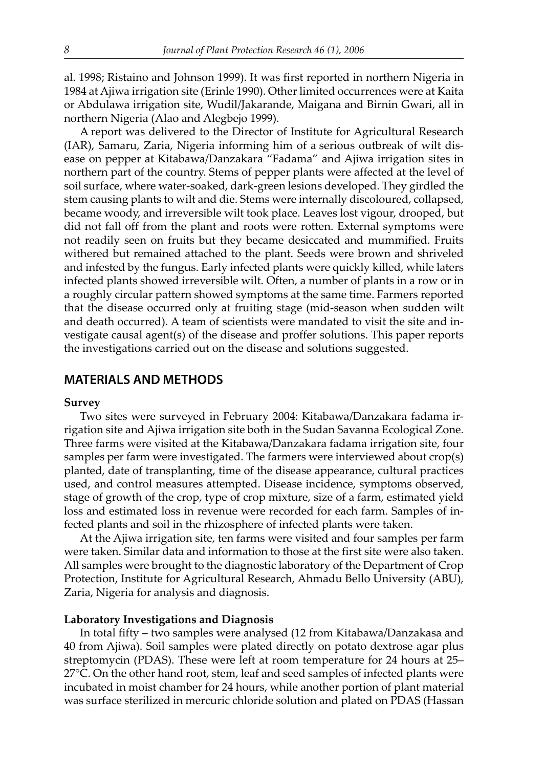al. 1998; Ristaino and Johnson 1999). It was first reported in northern Nigeria in 1984 at Ajiwa irrigation site (Erinle 1990). Other limited occurrences were at Kaita or Abdulawa irrigation site, Wudil/Jakarande, Maigana and Birnin Gwari, all in northern Nigeria (Alao and Alegbejo 1999).

A report was delivered to the Director of Institute for Agricultural Research (IAR), Samaru, Zaria, Nigeria informing him of a serious outbreak of wilt disease on pepper at Kitabawa/Danzakara "Fadama" and Ajiwa irrigation sites in northern part of the country. Stems of pepper plants were affected at the level of soil surface, where water-soaked, dark-green lesions developed. They girdled the stem causing plants to wilt and die. Stems were internally discoloured, collapsed, became woody, and irreversible wilt took place. Leaves lost vigour, drooped, but did not fall off from the plant and roots were rotten. External symptoms were not readily seen on fruits but they became desiccated and mummified. Fruits withered but remained attached to the plant. Seeds were brown and shriveled and infested by the fungus. Early infected plants were quickly killed, while laters infected plants showed irreversible wilt. Often, a number of plants in a row or in a roughly circular pattern showed symptoms at the same time. Farmers reported that the disease occurred only at fruiting stage (mid-season when sudden wilt and death occurred). A team of scientists were mandated to visit the site and investigate causal agent(s) of the disease and proffer solutions. This paper reports the investigations carried out on the disease and solutions suggested.

## **MATERIALS AND METHODS**

#### **Survey**

Two sites were surveyed in February 2004: Kitabawa/Danzakara fadama irrigation site and Ajiwa irrigation site both in the Sudan Savanna Ecological Zone. Three farms were visited at the Kitabawa/Danzakara fadama irrigation site, four samples per farm were investigated. The farmers were interviewed about crop(s) planted, date of transplanting, time of the disease appearance, cultural practices used, and control measures attempted. Disease incidence, symptoms observed, stage of growth of the crop, type of crop mixture, size of a farm, estimated yield loss and estimated loss in revenue were recorded for each farm. Samples of infected plants and soil in the rhizosphere of infected plants were taken.

At the Ajiwa irrigation site, ten farms were visited and four samples per farm were taken. Similar data and information to those at the first site were also taken. All samples were brought to the diagnostic laboratory of the Department of Crop Protection, Institute for Agricultural Research, Ahmadu Bello University (ABU), Zaria, Nigeria for analysis and diagnosis.

#### **Laboratory Investigations and Diagnosis**

In total fifty – two samples were analysed (12 from Kitabawa/Danzakasa and 40 from Ajiwa). Soil samples were plated directly on potato dextrose agar plus streptomycin (PDAS). These were left at room temperature for 24 hours at 25– 27°C. On the other hand root, stem, leaf and seed samples of infected plants were incubated in moist chamber for 24 hours, while another portion of plant material was surface sterilized in mercuric chloride solution and plated on PDAS (Hassan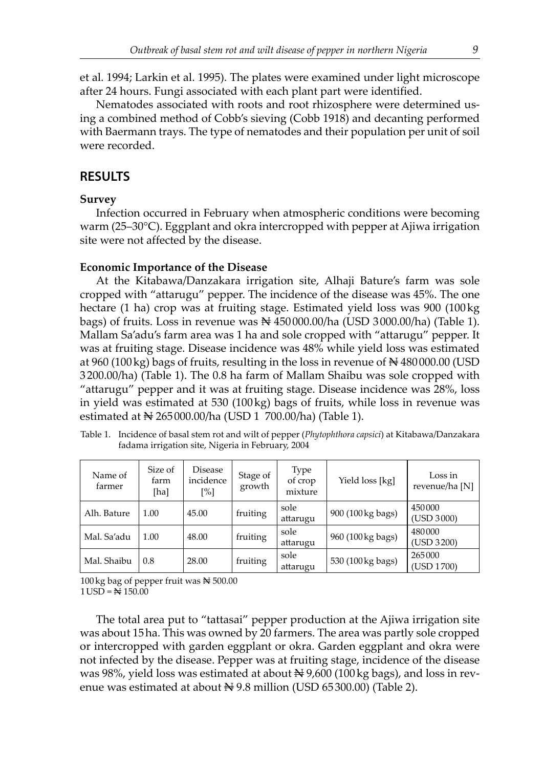et al. 1994; Larkin et al. 1995). The plates were examined under light microscope after 24 hours. Fungi associated with each plant part were identified.

Nematodes associated with roots and root rhizosphere were determined using a combined method of Cobb's sieving (Cobb 1918) and decanting performed with Baermann trays. The type of nematodes and their population per unit of soil were recorded.

## **RESULTS**

#### **Survey**

Infection occurred in February when atmospheric conditions were becoming warm (25–30°C). Eggplant and okra intercropped with pepper at Ajiwa irrigation site were not affected by the disease.

#### **Economic Importance of the Disease**

At the Kitabawa/Danzakara irrigation site, Alhaji Bature's farm was sole cropped with "attarugu" pepper. The incidence of the disease was 45%. The one hectare (1 ha) crop was at fruiting stage. Estimated yield loss was 900 (100 kg bags) of fruits. Loss in revenue was  $\mathbb{N}$  450 000.00/ha (USD 3 000.00/ha) (Table 1). Mallam Sa'adu's farm area was 1 ha and sole cropped with "attarugu" pepper. It was at fruiting stage. Disease incidence was 48% while yield loss was estimated at 960 (100 kg) bags of fruits, resulting in the loss in revenue of  $\mathbb{N}480000.00$  (USD 3 200.00/ha) (Table 1). The 0.8 ha farm of Mallam Shaibu was sole cropped with "attarugu" pepper and it was at fruiting stage. Disease incidence was 28%, loss in yield was estimated at 530  $(100 \text{ kg})$  bags of fruits, while loss in revenue was estimated at N 265 000.00/ha (USD 1 700.00/ha) (Table 1).

| Name of<br>farmer | Size of<br>farm<br>[ha] | Disease<br>incidence<br>[%] | Stage of<br>growth | Type<br>of crop<br>mixture | Yield loss [kg]   | Loss in<br>revenue/ha [N] |
|-------------------|-------------------------|-----------------------------|--------------------|----------------------------|-------------------|---------------------------|
| Alh. Bature       | 1.00                    | 45.00                       | fruiting           | sole<br>attarugu           | 900 (100 kg bags) | 450000<br>(USD 3000)      |
| Mal. Sa'adu       | 1.00                    | 48.00                       | fruiting           | sole<br>attarugu           | 960 (100 kg bags) | 480000<br>(USD 3200)      |
| Mal. Shaibu       | 0.8                     | 28.00                       | fruiting           | sole<br>attarugu           | 530 (100 kg bags) | 265000<br>(USD 1700)      |

Table 1. Incidence of basal stem rot and wilt of pepper (*Phytophthora capsici*) at Kitabawa/Danzakara fadama irrigation site, Nigeria in February, 2004

100 kg bag of pepper fruit was  $\approx 500.00$  $1$  USD =  $\cancel{ }$   $\approx 150.00$ 

The total area put to "tattasai" pepper production at the Ajiwa irrigation site was about 15 ha. This was owned by 20 farmers. The area was partly sole cropped or intercropped with garden eggplant or okra. Garden eggplant and okra were not infected by the disease. Pepper was at fruiting stage, incidence of the disease was 98%, yield loss was estimated at about  $\mathbb{N}$  9,600 (100 kg bags), and loss in revenue was estimated at about  $\mathbb{N}$  9.8 million (USD 65300.00) (Table 2).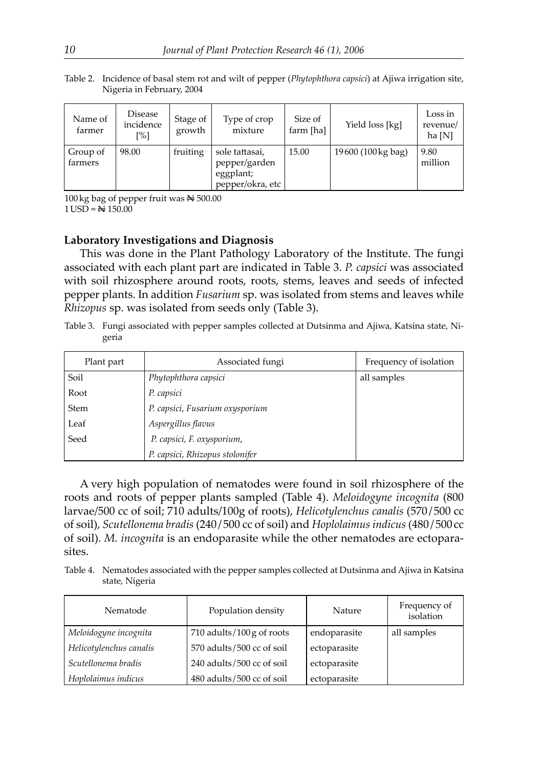| Name of<br>farmer | Disease<br>incidence<br>[%] | Stage of<br>growth | Type of crop<br>mixture | Size of<br>farm [ha] | Yield loss [kg]    | Loss in<br>revenue/<br>ha [N] |
|-------------------|-----------------------------|--------------------|-------------------------|----------------------|--------------------|-------------------------------|
| Group of          | 98.00                       | fruiting           | sole tattasai,          | 15.00                | 19600 (100 kg bag) | 9.80                          |

million

pepper/garden eggplant; pepper/okra, etc

Table 2. Incidence of basal stem rot and wilt of pepper (*Phytophthora capsici*) at Ajiwa irrigation site, Nigeria in February, 2004

100 kg bag of pepper fruit was  $\approx 500.00$  $1 \text{USD} = \frac{1}{2} 150.00$ 

farmers

#### **Laboratory Investigations and Diagnosis**

This was done in the Plant Pathology Laboratory of the Institute. The fungi associated with each plant part are indicated in Table 3. *P. capsici* was associated with soil rhizosphere around roots, roots, stems, leaves and seeds of infected pepper plants. In addition *Fusarium* sp. was isolated from stems and leaves while *Rhizopus* sp. was isolated from seeds only (Table 3).

Table 3. Fungi associated with pepper samples collected at Dutsinma and Ajiwa, Katsina state, Nigeria

| Plant part  | Associated fungi                | Frequency of isolation |
|-------------|---------------------------------|------------------------|
| Soil        | Phytophthora capsici            | all samples            |
| Root        | P. capsici                      |                        |
| <b>Stem</b> | P. capsici, Fusarium oxysporium |                        |
| Leaf        | Aspergillus flavus              |                        |
| Seed        | P. capsici, F. oxysporium,      |                        |
|             | P. capsici, Rhizopus stolonifer |                        |

A very high population of nematodes were found in soil rhizosphere of the roots and roots of pepper plants sampled (Table 4). *Meloidogyne incognita* (800 larvae/500 cc of soil; 710 adults/100g of roots), *Helicotylenchus canalis* (570 / 500 cc of soil), *Scutellonema bradis* (240 / 500 cc of soil) and *Hoplolaimus indicus* (480 / 500 cc of soil). *M. incognita* is an endoparasite while the other nematodes are ectoparasites.

Table 4. Nematodes associated with the pepper samples collected at Dutsinma and Ajiwa in Katsina state, Nigeria

| Nematode                | Population density        | Nature       | Frequency of<br>isolation |
|-------------------------|---------------------------|--------------|---------------------------|
| Meloidogyne incognita   | 710 adults/100 g of roots | endoparasite | all samples               |
| Helicotylenchus canalis | 570 adults/500 cc of soil | ectoparasite |                           |
| Scutellonema bradis     | 240 adults/500 cc of soil | ectoparasite |                           |
| Hoplolaimus indicus     | 480 adults/500 cc of soil | ectoparasite |                           |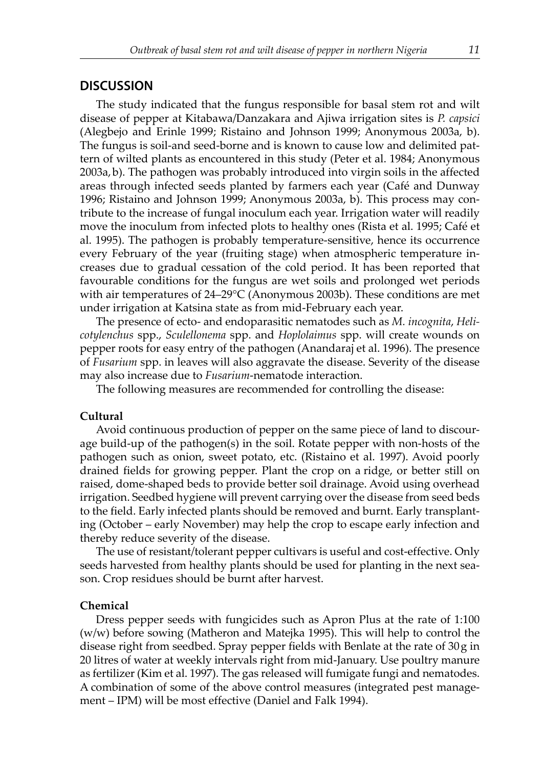#### **DISCUSSION**

The study indicated that the fungus responsible for basal stem rot and wilt disease of pepper at Kitabawa/Danzakara and Ajiwa irrigation sites is *P. capsici* (Alegbejo and Erinle 1999; Ristaino and Johnson 1999; Anonymous 2003a, b). The fungus is soil-and seed-borne and is known to cause low and delimited pattern of wilted plants as encountered in this study (Peter et al. 1984; Anonymous 2003a, b). The pathogen was probably introduced into virgin soils in the affected areas through infected seeds planted by farmers each year (Café and Dunway 1996; Ristaino and Johnson 1999; Anonymous 2003a, b). This process may contribute to the increase of fungal inoculum each year. Irrigation water will readily move the inoculum from infected plots to healthy ones (Rista et al. 1995; Café et al. 1995). The pathogen is probably temperature-sensitive, hence its occurrence every February of the year (fruiting stage) when atmospheric temperature increases due to gradual cessation of the cold period. It has been reported that favourable conditions for the fungus are wet soils and prolonged wet periods with air temperatures of 24–29°C (Anonymous 2003b). These conditions are met under irrigation at Katsina state as from mid-February each year.

The presence of ecto- and endoparasitic nematodes such as *M. incognita*, *Helicotylenchus* spp., *Sculellonema* spp. and *Hoplolaimus* spp. will create wounds on pepper roots for easy entry of the pathogen (Anandaraj et al. 1996). The presence of *Fusarium* spp. in leaves will also aggravate the disease. Severity of the disease may also increase due to *Fusarium*-nematode interaction.

The following measures are recommended for controlling the disease:

#### **Cultural**

Avoid continuous production of pepper on the same piece of land to discourage build-up of the pathogen(s) in the soil. Rotate pepper with non-hosts of the pathogen such as onion, sweet potato, etc. (Ristaino et al. 1997). Avoid poorly drained fields for growing pepper. Plant the crop on a ridge, or better still on raised, dome-shaped beds to provide better soil drainage. Avoid using overhead irrigation. Seedbed hygiene will prevent carrying over the disease from seed beds to the field. Early infected plants should be removed and burnt. Early transplanting (October – early November) may help the crop to escape early infection and thereby reduce severity of the disease.

The use of resistant/tolerant pepper cultivars is useful and cost-effective. Only seeds harvested from healthy plants should be used for planting in the next season. Crop residues should be burnt after harvest.

#### **Chemical**

Dress pepper seeds with fungicides such as Apron Plus at the rate of 1:100 (w/w) before sowing (Matheron and Matejka 1995). This will help to control the disease right from seedbed. Spray pepper fields with Benlate at the rate of 30 g in 20 litres of water at weekly intervals right from mid-January. Use poultry manure as fertilizer (Kim et al. 1997). The gas released will fumigate fungi and nematodes. A combination of some of the above control measures (integrated pest management – IPM) will be most effective (Daniel and Falk 1994).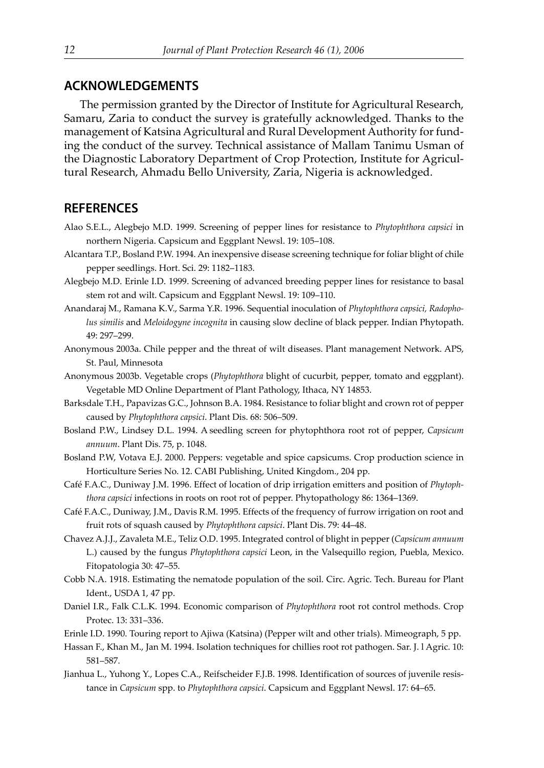## **ACKNOWLEDGEMENTS**

The permission granted by the Director of Institute for Agricultural Research, Samaru, Zaria to conduct the survey is gratefully acknowledged. Thanks to the management of Katsina Agricultural and Rural Development Authority for funding the conduct of the survey. Technical assistance of Mallam Tanimu Usman of the Diagnostic Laboratory Department of Crop Protection, Institute for Agricultural Research, Ahmadu Bello University, Zaria, Nigeria is acknowledged.

### **REFERENCES**

- Alao S.E.L., Alegbejo M.D. 1999. Screening of pepper lines for resistance to *Phytophthora capsici* in northern Nigeria. Capsicum and Eggplant Newsl. 19: 105–108.
- Alcantara T.P., Bosland P.W. 1994. An inexpensive disease screening technique for foliar blight of chile pepper seedlings. Hort. Sci. 29: 1182–1183.
- Alegbejo M.D. Erinle I.D. 1999. Screening of advanced breeding pepper lines for resistance to basal stem rot and wilt. Capsicum and Eggplant Newsl. 19: 109–110.
- Anandaraj M., Ramana K.V., Sarma Y.R. 1996. Sequential inoculation of *Phytophthora capsici, Radopholus similis* and *Meloidogyne incognita* in causing slow decline of black pepper. Indian Phytopath. 49: 297–299.
- Anonymous 2003a. Chile pepper and the threat of wilt diseases. Plant management Network. APS, St. Paul, Minnesota
- Anonymous 2003b. Vegetable crops (*Phytophthora* blight of cucurbit, pepper, tomato and eggplant). Vegetable MD Online Department of Plant Pathology, Ithaca, NY 14853.
- Barksdale T.H., Papavizas G.C., Johnson B.A. 1984. Resistance to foliar blight and crown rot of pepper caused by *Phytophthora capsici*. Plant Dis. 68: 506–509.
- Bosland P.W., Lindsey D.L. 1994. A seedling screen for phytophthora root rot of pepper, *Capsicum annuum*. Plant Dis. 75, p. 1048.
- Bosland P.W, Votava E.J. 2000. Peppers: vegetable and spice capsicums. Crop production science in Horticulture Series No. 12. CABI Publishing, United Kingdom., 204 pp.
- Café F.A.C., Duniway J.M. 1996. Effect of location of drip irrigation emitters and position of *Phytophthora capsici* infections in roots on root rot of pepper. Phytopathology 86: 1364–1369.
- Café F.A.C., Duniway, J.M., Davis R.M. 1995. Effects of the frequency of furrow irrigation on root and fruit rots of squash caused by *Phytophthora capsici*. Plant Dis. 79: 44–48.
- Chavez A.J.J., Zavaleta M.E., Teliz O.D. 1995. Integrated control of blight in pepper (*Capsicum annuum* L.) caused by the fungus *Phytophthora capsici* Leon, in the Valsequillo region, Puebla, Mexico. Fitopatologia 30: 47–55.
- Cobb N.A. 1918. Estimating the nematode population of the soil. Circ. Agric. Tech. Bureau for Plant Ident., USDA 1, 47 pp.
- Daniel I.R., Falk C.L.K. 1994. Economic comparison of *Phytophthora* root rot control methods. Crop Protec. 13: 331–336.
- Erinle I.D. 1990. Touring report to Ajiwa (Katsina) (Pepper wilt and other trials). Mimeograph, 5 pp.
- Hassan F., Khan M., Jan M. 1994. Isolation techniques for chillies root rot pathogen. Sar. J. l Agric. 10: 581–587.
- Jianhua L., Yuhong Y., Lopes C.A., Reifscheider F.J.B. 1998. Identification of sources of juvenile resistance in *Capsicum* spp. to *Phytophthora capsici*. Capsicum and Eggplant Newsl. 17: 64–65.